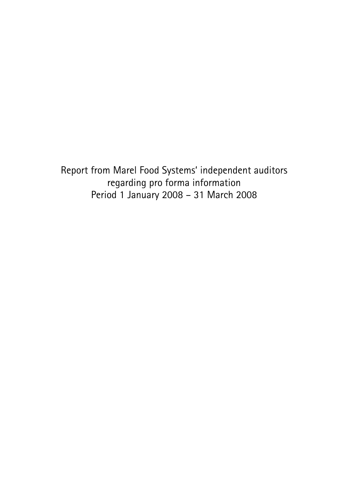Report from Marel Food Systems' independent auditors regarding pro forma information Period 1 January 2008 – 31 March 2008